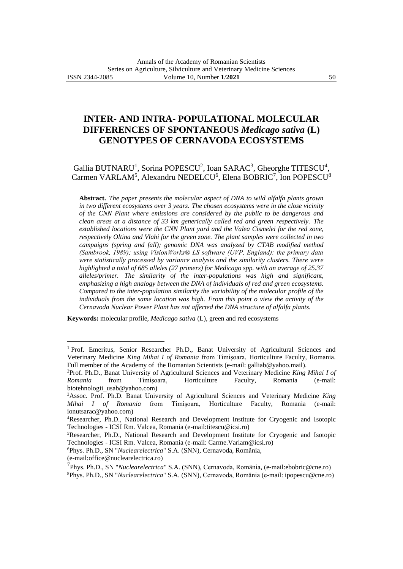# **INTER- AND INTRA- POPULATIONAL MOLECULAR DIFFERENCES OF SPONTANEOUS** *Medicago sativa* **(L) GENOTYPES OF CERNAVODA ECOSYSTEMS**

# Gallia BUTNARU<sup>1</sup>, Sorina POPESCU<sup>2</sup>, Ioan SARAC<sup>3</sup>, Gheorghe TITESCU<sup>4</sup>, Carmen VARLAM<sup>5</sup>, Alexandru NEDELCU<sup>6</sup>, Elena BOBRIC<sup>7</sup>, Ion POPESCU<sup>8</sup>

**Abstract.** *The paper presents the molecular aspect of DNA to wild alfalfa plants grown in two different ecosystems over 3 years. The chosen ecosystems were in the close vicinity of the CNN Plant where emissions are considered by the public to be dangerous and clean areas at a distance of 33 km generically called red and green respectively. The established locations were the CNN Plant yard and the Valea Cismelei for the red zone, respectively Oltina and Vlahi for the green zone. The plant samples were collected in two campaigns (spring and fall); genomic DNA was analyzed by CTAB modified method (Sambrook, 1989); using VisionWorks® LS software (UVP, England); the primary data were statistically processed by variance analysis and the similarity clusters. There were highlighted a total of 685 alleles (27 primers) for Medicago spp. with an average of 25.37 alleles/primer. The similarity of the inter-populations was high and significant, emphasizing a high analogy between the DNA of individuals of red and green ecosystems. Compared to the inter-population similarity the variability of the molecular profile of the individuals from the same location was high. From this point o view the activity of the Cernavoda Nuclear Power Plant has not affected the DNA structure of alfalfa plants.*

**Keywords:** molecular profile, *Medicago sativa* (L), green and red ecosystems

<sup>&</sup>lt;sup>1</sup> Prof. Emeritus, Senior Researcher Ph.D., Banat University of Agricultural Sciences and Veterinary Medicine *King Mihai I of Romania* from Timişoara, Horticulture Faculty, Romania. Full member of the Academy of the Romanian Scientists (e-mail: [galliab@yahoo.mail\)](mailto:galliab@yahoo.mail).

<sup>2</sup>Prof. Ph.D., Banat University of Agricultural Sciences and Veterinary Medicine *King Mihai I of Romania* from Timişoara, Horticulture Faculty, Romania (e-mail: biotehnologii\_usab@yahoo.com)

<sup>3</sup>Assoc. Prof. Ph.D. Banat University of Agricultural Sciences and Veterinary Medicine *King Mihai I of Romania* from Timişoara, Horticulture Faculty, Romania (e-mail: ionutsarac@yahoo.com)

<sup>4</sup>Researcher, Ph.D., National Research and Development Institute for Cryogenic and Isotopic Technologies - ICSI Rm. Valcea, Romania (e-mail:titescu@icsi.ro)

<sup>5</sup>Researcher, Ph.D., National Research and Development Institute for Cryogenic and Isotopic Technologies - ICSI Rm. Valcea, Romania (e-mail: Carme.Varlam@icsi.ro)

<sup>6</sup>Phys. Ph.D., SN "*Nuclearelectrica*" S.A. (SNN), Cernavoda, România,

<sup>(</sup>e-mail:office@nuclearelectrica.ro)

<sup>7</sup> Phys. Ph.D., SN "*Nuclearelectrica*" S.A. (SNN), Cernavoda, România, (e-mail:ebobric@cne.ro) <sup>8</sup>Phys. Ph.D., SN "*Nuclearelectrica*" S.A. (SNN), Cernavoda, România (e-mail: ipopescu@cne.ro)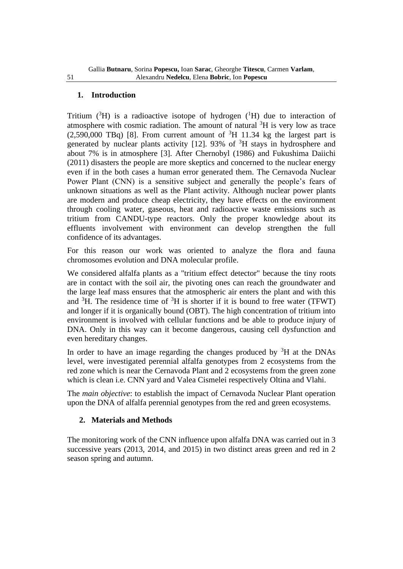# **1. Introduction**

Tritium  $({}^{3}H)$  is a radioactive isotope of hydrogen  $({}^{1}H)$  due to interaction of atmosphere with cosmic radiation. The amount of natural  ${}^{3}H$  is very low as trace  $(2,590,000 \text{ TBq})$  [8]. From current amount of <sup>3</sup>H 11.34 kg the largest part is generated by nuclear plants activity [12]. 93% of <sup>3</sup>H stays in hydrosphere and about 7% is in atmosphere [3]. After Chernobyl (1986) and Fukushima Daiichi (2011) disasters the people are more skeptics and concerned to the nuclear energy even if in the both cases a human error generated them. The Cernavoda Nuclear Power Plant (CNN) is a sensitive subject and generally the people's fears of unknown situations as well as the Plant activity. Although nuclear power plants are modern and produce cheap electricity, they have effects on the environment through cooling water, gaseous, heat and radioactive waste emissions such as tritium from CANDU-type reactors. Only the proper knowledge about its effluents involvement with environment can develop strengthen the full confidence of its advantages.

For this reason our work was oriented to analyze the flora and fauna chromosomes evolution and DNA molecular profile.

We considered alfalfa plants as a "tritium effect detector" because the tiny roots are in contact with the soil air, the pivoting ones can reach the groundwater and the large leaf mass ensures that the atmospheric air enters the plant and with this and  ${}^{3}$ H. The residence time of  ${}^{3}$ H is shorter if it is bound to free water (TFWT) and longer if it is organically bound (OBT). The high concentration of tritium into environment is involved with cellular functions and be able to produce injury of DNA. Only in this way can it become dangerous, causing cell dysfunction and even hereditary changes.

In order to have an image regarding the changes produced by  ${}^{3}H$  at the DNAs level, were investigated perennial alfalfa genotypes from 2 ecosystems from the red zone which is near the Cernavoda Plant and 2 ecosystems from the green zone which is clean i.e. CNN yard and Valea Cismelei respectively Oltina and Vlahi.

The *main objective*: to establish the impact of Cernavoda Nuclear Plant operation upon the DNA of alfalfa perennial genotypes from the red and green ecosystems.

# **2. Materials and Methods**

The monitoring work of the CNN influence upon alfalfa DNA was carried out in 3 successive years (2013, 2014, and 2015) in two distinct areas green and red in 2 season spring and autumn.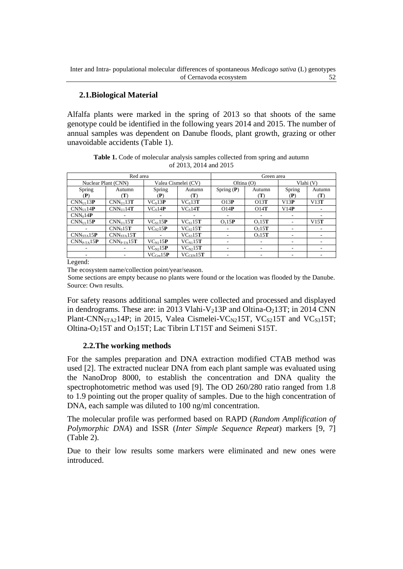# **2.1.Biological Material**

Alfalfa plants were marked in the spring of 2013 so that shoots of the same genotype could be identified in the following years 2014 and 2015. The number of annual samples was dependent on Danube floods, plant growth, grazing or other unavoidable accidents (Table 1).

|                | Red area            |                     |                               | Green area             |                    |           |        |  |  |
|----------------|---------------------|---------------------|-------------------------------|------------------------|--------------------|-----------|--------|--|--|
|                | Nuclear Plant (CNN) | Valea Cismelei (CV) |                               | Oltina $(O)$           |                    | Vlahi (V) |        |  |  |
| Spring         | Autumn              | Spring              | Autumn                        | Spring $(P)$<br>Autumn |                    | Spring    | Autumn |  |  |
| (P)            | T)                  | (P)                 | T)                            |                        | (T)                | (P)       | (T)    |  |  |
| $CNN_{UL}13P$  | $CNN_{III}13T$      | $VC_s13P$           | $VC_s13T$                     | O13P                   | O13T               | V13P      | V13T   |  |  |
| $CNN_{III}14P$ | $CNN_{III}14T$      | $VC_s14P$           | $VC_s14T$                     | O14P                   | O14T               | V14P      |        |  |  |
| $CNN_014P$     |                     |                     |                               |                        |                    | ۰         |        |  |  |
| $CNN_{UL}15P$  | $CNN_{UL}15T$       | $VC_{S1}15P$        | $VC_{S1}15T$                  | O <sub>1</sub> 15P     | O <sub>1</sub> 15T | ۰         | V15T   |  |  |
|                | $CNN_015T$          | VC <sub>s</sub> 15P | $VC_{s2}15T$                  |                        | O <sub>2</sub> 15T | ۰         |        |  |  |
| $CNN_{STA}15P$ | $CNN_{STA}15T$      |                     | $VC_{s3}15T$                  |                        | O <sub>3</sub> 15T |           |        |  |  |
| $CNNP-TA15P$   | $CNNP-TA15T$        | $VC_{N1}15P$        | $VC_{N1}15T$                  | ٠                      |                    | ۰         | ٠      |  |  |
|                |                     | $VC_{N2}15P$        | $VC_{N2}15T$                  | -                      |                    | ۰         | ٠.     |  |  |
|                |                     | $VC_{Cen}15P$       | $\rm VC_{\rm CEN}$ 15 $\bf T$ |                        |                    |           |        |  |  |

**Table 1.** Code of molecular analysis samples collected from spring and autumn of 2013, 2014 and 2015

Legend:

The ecosystem name/collection point/year/season.

Some sections are empty because no plants were found or the location was flooded by the Danube. Source: Own results.

For safety reasons additional samples were collected and processed and displayed in dendrograms. These are: in 2013 Vlahi-V<sub>2</sub>13P and Oltina-O<sub>2</sub>13T; in 2014 CNN Plant-CNN<sub>STA2</sub>14P; in 2015, Valea Cismelei-VC<sub>N2</sub>15T, VC<sub>S2</sub>15T and VC<sub>S3</sub>15T; Oltina-O<sub>2</sub>15T and O<sub>3</sub>15T; Lac Tibrin LT15T and Seimeni S15T.

### **2.2.The working methods**

For the samples preparation and DNA extraction modified CTAB method was used [2]. The extracted nuclear DNA from each plant sample was evaluated using the NanoDrop 8000, to establish the concentration and DNA quality the spectrophotometric method was used [9]. The OD 260/280 ratio ranged from 1.8 to 1.9 pointing out the proper quality of samples. Due to the high concentration of DNA, each sample was diluted to 100 ng/ml concentration.

The molecular profile was performed based on RAPD (*Random Amplification of Polymorphic DNA*) and ISSR (*Inter Simple Sequence Repeat*) markers [9, 7] (Table 2).

Due to their low results some markers were eliminated and new ones were introduced.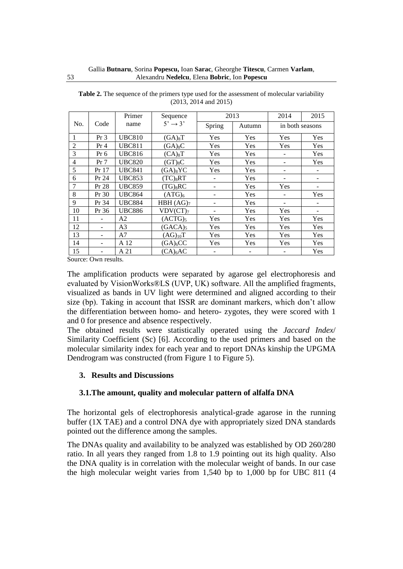|                |        | Primer         | Sequence               |        | 2013   | 2014                     | 2015 |
|----------------|--------|----------------|------------------------|--------|--------|--------------------------|------|
| No.            | Code   | name           | $5' \rightarrow 3'$    | Spring | Autumn | in both seasons          |      |
| 1              | $Pr_3$ | <b>UBC810</b>  | $(GA)_8T$              | Yes    | Yes    | <b>Yes</b>               | Yes  |
| $\overline{2}$ | $Pr_4$ | <b>UBC811</b>  | $(GA)_{8}C$            | Yes    | Yes    | Yes                      | Yes  |
| 3              | Pr 6   | <b>UBC816</b>  | $(CA)_{8}T$            | Yes    | Yes    |                          | Yes  |
| $\overline{4}$ | Pr 7   | <b>UBC820</b>  | $(GT)_{8}C$            | Yes    | Yes    | $\overline{\phantom{a}}$ | Yes  |
| 5              | Pr 17  | <b>UBC841</b>  | $(GA)_{8}YC$           | Yes    | Yes    | $\overline{\phantom{a}}$ |      |
| 6              | Pr 24  | <b>UBC853</b>  | $(TC)_{8}RT$           |        | Yes    |                          |      |
| 7              | Pr 28  | <b>UBC859</b>  | $(TG)$ <sub>8</sub> RC |        | Yes    | Yes                      |      |
| 8              | Pr 30  | <b>UBC864</b>  | (ATG) <sub>6</sub>     |        | Yes    |                          | Yes  |
| 9              | Pr 34  | <b>UBC884</b>  | HBH (AG) <sub>7</sub>  |        | Yes    |                          |      |
| 10             | Pr 36  | <b>UBC886</b>  | VDV (CT) <sub>7</sub>  |        | Yes    | Yes                      | -    |
| 11             |        | A2             | (ACTG) <sub>5</sub>    | Yes    | Yes    | Yes                      | Yes  |
| 12             |        | A <sub>3</sub> | $(GACA)_5$             | Yes    | Yes    | Yes                      | Yes  |
| 13             |        | A7             | $(AG)_{10}T$           | Yes    | Yes    | Yes                      | Yes  |
| 14             |        | A 12           | $(GA)_{6}CC$           | Yes    | Yes    | Yes                      | Yes  |
| 15             |        | A 21           | $(CA)_{6}AC$           |        |        |                          | Yes  |

**Table 2.** The sequence of the primers type used for the assessment of molecular variability (2013, 2014 and 2015)

Source: Own results.

The amplification products were separated by agarose gel electrophoresis and evaluated by VisionWorks®LS (UVP, UK) software. All the amplified fragments, visualized as bands in UV light were determined and aligned according to their size (bp). Taking in account that ISSR are dominant markers, which don't allow the differentiation between homo- and hetero- zygotes, they were scored with 1 and 0 for presence and absence respectively.

The obtained results were statistically operated using the *Jaccard Index*/ Similarity Coefficient (Sc) [6]. According to the used primers and based on the molecular similarity index for each year and to report DNAs kinship the UPGMA Dendrogram was constructed (from Figure 1 to Figure 5).

### **3. Results and Discussions**

### **3.1.The amount, quality and molecular pattern of alfalfa DNA**

The horizontal gels of electrophoresis analytical-grade agarose in the running buffer (1X TAE) and a control DNA dye with appropriately sized DNA standards pointed out the difference among the samples.

The DNAs quality and availability to be analyzed was established by OD 260/280 ratio. In all years they ranged from 1.8 to 1.9 pointing out its high quality. Also the DNA quality is in correlation with the molecular weight of bands. In our case the high molecular weight varies from 1,540 bp to 1,000 bp for UBC 811 (4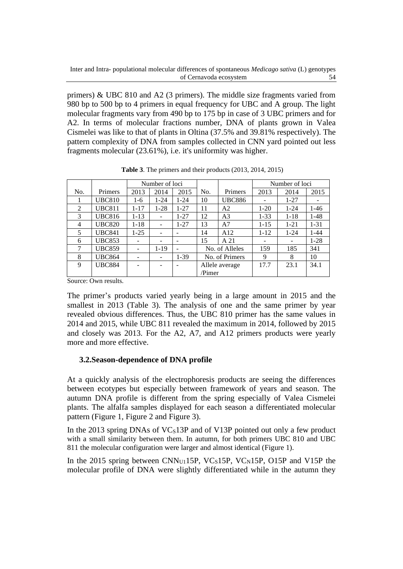primers) & UBC 810 and A2 (3 primers). The middle size fragments varied from 980 bp to 500 bp to 4 primers in equal frequency for UBC and A group. The light molecular fragments vary from 490 bp to 175 bp in case of 3 UBC primers and for A2. In terms of molecular fractions number, DNA of plants grown in Valea Cismelei was like to that of plants in Oltina (37.5% and 39.81% respectively). The pattern complexity of DNA from samples collected in CNN yard pointed out less fragments molecular (23.61%), i.e. it's uniformity was higher.

|                |               |                          | Number of loci               |          |                |                |          | Number of loci |          |
|----------------|---------------|--------------------------|------------------------------|----------|----------------|----------------|----------|----------------|----------|
| No.            | Primers       | 2013                     | 2014                         | 2015     | Primers<br>No. |                | 2013     | 2014           | 2015     |
|                | <b>UBC810</b> | $1-6$                    | $1 - 24$                     | $1 - 24$ | 10             | <b>UBC886</b>  |          | $1 - 27$       |          |
| $\overline{2}$ | <b>UBC811</b> | $1 - 17$                 | $1-28$                       | $1 - 27$ | 11             | A2             | $1-20$   | $1 - 24$       | $1-46$   |
| 3              | <b>UBC816</b> | $1 - 13$                 | $\qquad \qquad \blacksquare$ | $1 - 27$ | 12             | A <sub>3</sub> | $1 - 33$ | $1 - 18$       | $1-48$   |
| 4              | <b>UBC820</b> | $1 - 18$                 | $\overline{\phantom{a}}$     | $1 - 27$ | 13             | A7             | $1 - 15$ | $1 - 21$       | $1 - 31$ |
| 5              | <b>UBC841</b> | $1 - 25$                 |                              |          | 14             | A12            | $1 - 12$ | $1 - 24$       | $1 - 44$ |
| 6              | <b>UBC853</b> |                          |                              |          | 15             | A 21           |          |                | $1-28$   |
| 7              | <b>UBC859</b> | $\overline{\phantom{a}}$ | $1-19$                       | -        |                | No. of Alleles | 159      | 185            | 341      |
| 8              | <b>UBC864</b> | ۰                        |                              | $1-39$   | No. of Primers |                | 9        | 8              | 10       |
| 9              | <b>UBC884</b> |                          |                              |          | Allele average |                | 17.7     | 23.1           | 34.1     |
|                |               |                          |                              |          | Pimer          |                |          |                |          |

**Table 3**. The primers and their products (2013, 2014, 2015)

Source: Own results.

The primer's products varied yearly being in a large amount in 2015 and the smallest in 2013 (Table 3). The analysis of one and the same primer by year revealed obvious differences. Thus, the UBC 810 primer has the same values in 2014 and 2015, while UBC 811 revealed the maximum in 2014, followed by 2015 and closely was 2013. For the A2, A7, and A12 primers products were yearly more and more effective.

### **3.2.Season-dependence of DNA profile**

At a quickly analysis of the electrophoresis products are seeing the differences between ecotypes but especially between framework of years and season. The autumn DNA profile is different from the spring especially of Valea Cismelei plants. The alfalfa samples displayed for each season a differentiated molecular pattern (Figure 1, Figure 2 and Figure 3).

In the 2013 spring DNAs of  $VCs13P$  and of V13P pointed out only a few product with a small similarity between them. In autumn, for both primers UBC 810 and UBC 811 the molecular configuration were larger and almost identical (Figure 1).

In the 2015 spring between CNN<sub>U1</sub>15P, VC<sub>S</sub>15P, VC<sub>N</sub>15P, O15P and V15P the molecular profile of DNA were slightly differentiated while in the autumn they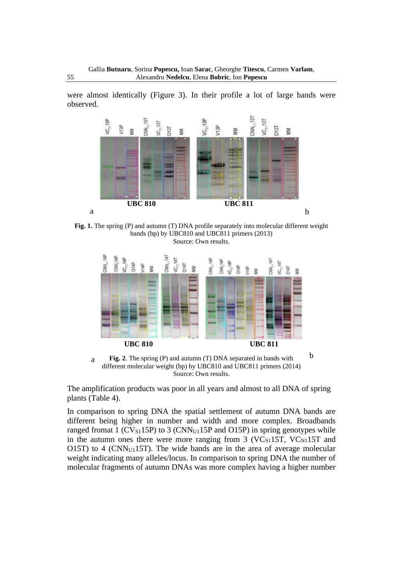were almost identically (Figure 3). In their profile a lot of large bands were observed.



**Fig. 1.** The spring (P) and autumn (T) DNA profile separately into molecular different weight bands (bp) by UBC810 and UBC811 primers (2013) Source: Own results.



**Fig. 2**. The spring (P) and autumn (T) DNA separated in bands with different molecular weight (bp) by UBC810 and UBC811 primers (2014) Source: Own results. a

The amplification products was poor in all years and almost to all DNA of spring plants (Table 4).

In comparison to spring DNA the spatial settlement of autumn DNA bands are different being higher in number and width and more complex. Broadbands ranged fromat 1 ( $CV_{S1}15P$ ) to 3 ( $CNN_{U1}15P$  and  $O15P$ ) in spring genotypes while in the autumn ones there were more ranging from  $3$  (VC $_{S1}$ 15T, VC $_{N1}$ 15T and O15T) to 4 ( $CNN<sub>U1</sub>15T$ ). The wide bands are in the area of average molecular weight indicating many alleles/locus. In comparison to spring DNA the number of molecular fragments of autumn DNAs was more complex having a higher number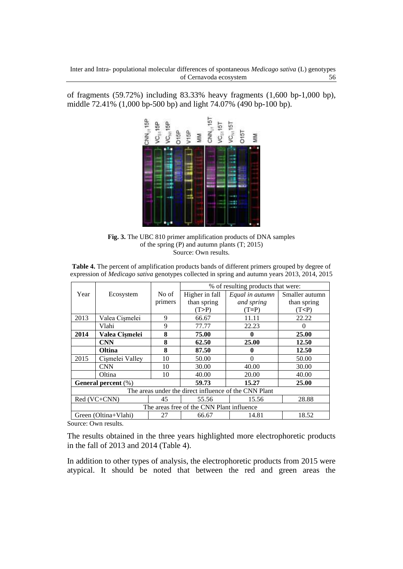of fragments (59.72%) including 83.33% heavy fragments (1,600 bp-1,000 bp), middle 72.41% (1,000 bp-500 bp) and light 74.07% (490 bp-100 bp).



**Fig. 3.** The UBC 810 primer amplification products of DNA samples of the spring (P) and autumn plants (T; 2015) Source: Own results.

**Table 4.** The percent of amplification products bands of different primers grouped by degree of expression of *Medicago sativa* genotypes collected in spring and autumn years 2013, 2014, 2015

|      |                                           |         |                | % of resulting products that were:                    |                |  |  |  |  |  |  |
|------|-------------------------------------------|---------|----------------|-------------------------------------------------------|----------------|--|--|--|--|--|--|
| Year | Ecosystem                                 | No of   | Higher in fall | Equal in autumn                                       | Smaller autumn |  |  |  |  |  |  |
|      |                                           | primers | than spring    | and spring                                            | than spring    |  |  |  |  |  |  |
|      |                                           |         | (T>P)          | $(T= P)$                                              | (T<)           |  |  |  |  |  |  |
| 2013 | Valea Cișmelei                            | 9       | 66.67          | 11.11                                                 | 22.22          |  |  |  |  |  |  |
|      | Vlahi                                     | 9       | 77.77          | 22.23                                                 |                |  |  |  |  |  |  |
| 2014 | Valea Cișmelei                            | 8       | 75.00          | 0                                                     | 25.00          |  |  |  |  |  |  |
|      | <b>CNN</b>                                | 8       | 62.50          | 25.00                                                 | 12.50          |  |  |  |  |  |  |
|      | Oltina                                    | 8       | 87.50          | O                                                     | 12.50          |  |  |  |  |  |  |
| 2015 | Cismelei Valley                           | 10      | 50.00          | 0                                                     | 50.00          |  |  |  |  |  |  |
|      | <b>CNN</b>                                | 10      | 30.00          | 40.00                                                 | 30.00          |  |  |  |  |  |  |
|      | Oltina                                    | 10      | 40.00          | 20.00                                                 | 40.00          |  |  |  |  |  |  |
|      | <b>General percent</b> (%)                |         | 59.73          | 15.27                                                 | 25.00          |  |  |  |  |  |  |
|      |                                           |         |                | The areas under the direct influence of the CNN Plant |                |  |  |  |  |  |  |
|      | $Red (VC+CNN)$                            | 45      | 55.56          | 15.56                                                 | 28.88          |  |  |  |  |  |  |
|      | The areas free of the CNN Plant influence |         |                |                                                       |                |  |  |  |  |  |  |
|      | Green (Oltina+Vlahi)                      | 27      | 66.67          | 14.81                                                 | 18.52          |  |  |  |  |  |  |

Source: Own results.

The results obtained in the three years highlighted more electrophoretic products in the fall of 2013 and 2014 (Table 4).

In addition to other types of analysis, the electrophoretic products from 2015 were atypical. It should be noted that between the red and green areas the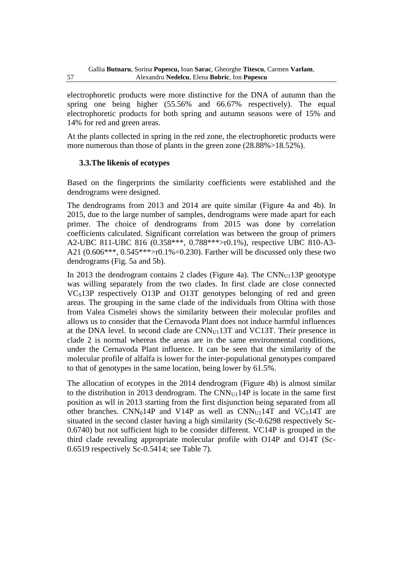electrophoretic products were more distinctive for the DNA of autumn than the spring one being higher (55.56% and 66.67% respectively). The equal electrophoretic products for both spring and autumn seasons were of 15% and 14% for red and green areas.

At the plants collected in spring in the red zone, the electrophoretic products were more numerous than those of plants in the green zone  $(28.88\%) > 18.52\%$ .

# **3.3.The likenis of ecotypes**

Based on the fingerprints the similarity coefficients were established and the dendrograms were designed.

The dendrograms from 2013 and 2014 are quite similar (Figure 4a and 4b). In 2015, due to the large number of samples, dendrograms were made apart for each primer. The choice of dendrograms from 2015 was done by correlation coefficients calculated. Significant correlation was between the group of primers A2-UBC 811-UBC 816 (0.358\*\*\*, 0.788\*\*\*>r0.1%), respective UBC 810-A3- A21 (0.606\*\*\*, 0.545\*\*\*>r0.1%=0.230). Farther will be discussed only these two dendrograms (Fig. 5a and 5b).

In 2013 the dendrogram contains 2 clades (Figure 4a). The CNN<sub>U1</sub>13P genotype was willing separately from the two clades. In first clade are close connected VC<sub>S</sub>13P respectively O13P and O13T genotypes belonging of red and green areas. The grouping in the same clade of the individuals from Oltina with those from Valea Cismelei shows the similarity between their molecular profiles and allows us to consider that the Cernavoda Plant does not induce harmful influences at the DNA level. In second clade are  $CNN_{U1}13T$  and  $VC13T$ . Their presence in clade 2 is normal whereas the areas are in the same environmental conditions, under the Cernavoda Plant influence. It can be seen that the similarity of the molecular profile of alfalfa is lower for the inter-populational genotypes compared to that of genotypes in the same location, being lower by 61.5%.

The allocation of ecotypes in the 2014 dendrogram (Figure 4b) is almost similar to the distribution in 2013 dendrogram. The  $CNN_{U1}14P$  is locate in the same first position as wll in 2013 starting from the first disjunction being separated from all other branches.  $CNN_014P$  and  $V14P$  as well as  $CNN_{U1}14T$  and  $VC_514T$  are situated in the second claster having a high similarity (Sc-0.6298 respectively Sc-0.6740) but not sufficient high to be consider different. VC14P is grouped in the third clade revealing appropriate molecular profile with O14P and O14T (Sc-0.6519 respectively Sc-0.5414; see Table 7).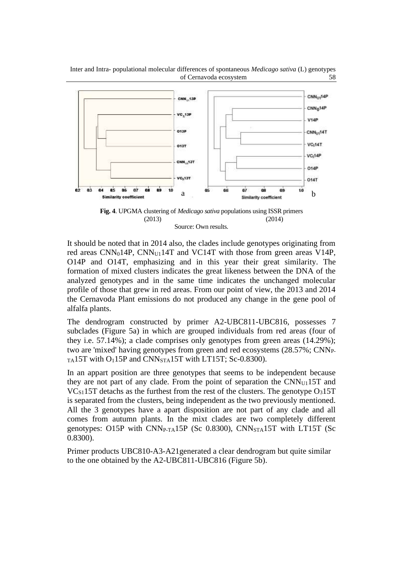



It should be noted that in 2014 also, the clades include genotypes originating from red areas  $CNN_014P$ ,  $CNN_{U1}14T$  and  $VC14T$  with those from green areas  $V14P$ , O14P and O14T, emphasizing and in this year their great similarity. The formation of mixed clusters indicates the great likeness between the DNA of the analyzed genotypes and in the same time indicates the unchanged molecular profile of those that grew in red areas. From our point of view, the 2013 and 2014 the Cernavoda Plant emissions do not produced any change in the gene pool of alfalfa plants.

The dendrogram constructed by primer A2-UBC811-UBC816, possesses 7 subclades (Figure 5a) in which are grouped individuals from red areas (four of they i.e. 57.14%); a clade comprises only genotypes from green areas (14.29%); two are 'mixed' having genotypes from green and red ecosystems (28.57%; CNNP- $_{TA}$ 15T with O<sub>1</sub>15P and CNN<sub>STA</sub>15T with LT15T; Sc-0.8300).

In an appart position are three genotypes that seems to be independent because they are not part of any clade. From the point of separation the  $CNN_{U1}15T$  and  $VC<sub>S1</sub>15T$  detachs as the furthest from the rest of the clusters. The genotype  $O<sub>3</sub>15T$ is separated from the clusters, being independent as the two previously mentioned. All the 3 genotypes have a apart disposition are not part of any clade and all comes from autumn plants. In the mixt clades are two completely different genotypes: O15P with CNNP-TA15P (Sc 0.8300), CNNSTA15T with LT15T (Sc 0.8300).

Primer products UBC810-A3-A21generated a clear dendrogram but quite similar to the one obtained by the A2-UBC811-UBC816 (Figure 5b).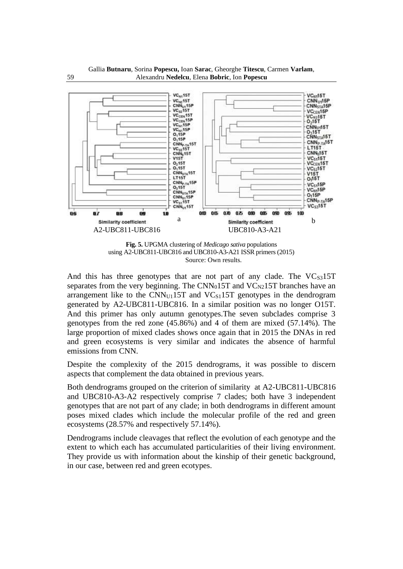



**Fig. 5.** UPGMA clustering of *Medicago sativa* populations using A2-UBC811-UBC816 and UBC810-A3-A21 ISSR primers (2015) Source: Own results.

And this has three genotypes that are not part of any clade. The  $VC<sub>S3</sub>15T$ separates from the very beginning. The  $CNN_015T$  and  $VC_{N2}15T$  branches have an arrangement like to the  $CNN_{U1}15T$  and  $VC_{S1}15T$  genotypes in the dendrogram generated by A2-UBC811-UBC816. In a similar position was no longer O15T. And this primer has only autumn genotypes.The seven subclades comprise 3 genotypes from the red zone (45.86%) and 4 of them are mixed (57.14%). The large proportion of mixed clades shows once again that in 2015 the DNAs in red and green ecosystems is very similar and indicates the absence of harmful emissions from CNN.

Despite the complexity of the 2015 dendrograms, it was possible to discern aspects that complement the data obtained in previous years.

Both dendrograms grouped on the criterion of similarity at A2-UBC811-UBC816 and UBC810-A3-A2 respectively comprise 7 clades; both have 3 independent genotypes that are not part of any clade; in both dendrograms in different amount poses mixed clades which include the molecular profile of the red and green ecosystems (28.57% and respectively 57.14%).

Dendrograms include cleavages that reflect the evolution of each genotype and the extent to which each has accumulated particularities of their living environment. They provide us with information about the kinship of their genetic background, in our case, between red and green ecotypes.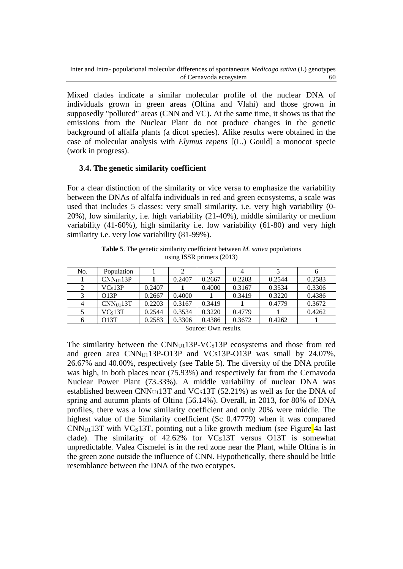Mixed clades indicate a similar molecular profile of the nuclear DNA of individuals grown in green areas (Oltina and Vlahi) and those grown in supposedly "polluted" areas (CNN and VC). At the same time, it shows us that the emissions from the Nuclear Plant do not produce changes in the genetic background of alfalfa plants (a dicot species). Alike results were obtained in the case of molecular analysis with *Elymus repens* [(L.) Gould] a monocot specie (work in progress).

### **3**.**4. The genetic similarity coefficient**

For a clear distinction of the similarity or vice versa to emphasize the variability between the DNAs of alfalfa individuals in red and green ecosystems, a scale was used that includes 5 classes: very small similarity, i.e. very high variability (0- 20%), low similarity, i.e. high variability (21-40%), middle similarity or medium variability (41-60%), high similarity i.e. low variability (61-80) and very high similarity i.e. very low variability (81-99%).

**Table 5**. The genetic similarity coefficient between *M. sativa* populations using ISSR primers (2013)

| No. | Population    |        |        |        | 4      |        |        |
|-----|---------------|--------|--------|--------|--------|--------|--------|
|     | $CNN_{U1}13P$ |        | 0.2407 | 0.2667 | 0.2203 | 0.2544 | 0.2583 |
| 2   | VCs13P        | 0.2407 |        | 0.4000 | 0.3167 | 0.3534 | 0.3306 |
|     | O13P          | 0.2667 | 0.4000 |        | 0.3419 | 0.3220 | 0.4386 |
| 4   | $CNN_{U1}13T$ | 0.2203 | 0.3167 | 0.3419 |        | 0.4779 | 0.3672 |
|     | VCs13T        | 0.2544 | 0.3534 | 0.3220 | 0.4779 |        | 0.4262 |
| 6   | O13T          | 0.2583 | 0.3306 | 0.4386 | 0.3672 | 0.4262 |        |

Source: Own results.

The similarity between the  $CNN_{U1}13P\text{-}VC<sub>S</sub>13P$  ecosystems and those from red and green area CNN<sub>U1</sub>13P-O13P and VCs13P-O13P was small by 24.07%, 26.67% and 40.00%, respectively (see Table 5). The diversity of the DNA profile was high, in both places near (75.93%) and respectively far from the Cernavoda Nuclear Power Plant (73.33%). A middle variability of nuclear DNA was established between CNN<sub>U1</sub>13T and VC<sub>S</sub>13T (52.21%) as well as for the DNA of spring and autumn plants of Oltina (56.14%). Overall, in 2013, for 80% of DNA profiles, there was a low similarity coefficient and only 20% were middle. The highest value of the Similarity coefficient (Sc 0.47779) when it was compared  $CNN<sub>U1</sub>13T$  with VC<sub>S</sub>13T, pointing out a like growth medium (see Figure 4a last clade). The similarity of  $42.62\%$  for VCs13T versus O13T is somewhat unpredictable. Valea Cismelei is in the red zone near the Plant, while Oltina is in the green zone outside the influence of CNN. Hypothetically, there should be little resemblance between the DNA of the two ecotypes.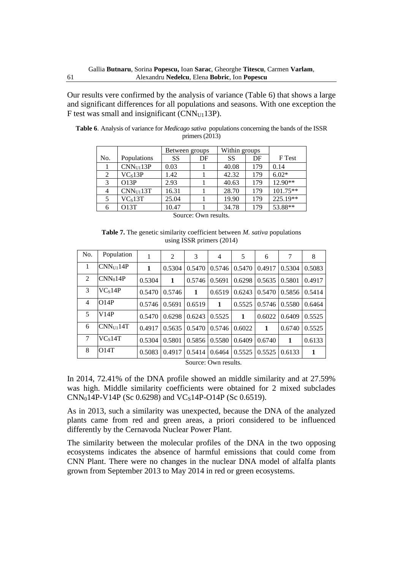Our results vere confirmed by the analysis of variance (Table 6) that shows a large and significant differences for all populations and seasons. With one exception the F test was small and insignificant (CNNU113P).

|                |                       | Between groups |    | Within groups |     |            |
|----------------|-----------------------|----------------|----|---------------|-----|------------|
| No.            | Populations           | <b>SS</b>      | DF | <b>SS</b>     | DF  | F Test     |
|                | CNN <sub>U1</sub> 13P | 0.03           |    | 40.08         | 179 | 0.14       |
| 2              | VC <sub>s</sub> 13P   | 1.42           |    | 42.32         | 179 | $6.02*$    |
| 3              | O13P                  | 2.93           |    | 40.63         | 179 | $12.90**$  |
| $\overline{4}$ | CNN <sub>U1</sub> 13T | 16.31          |    | 28.70         | 179 | $101.75**$ |
| 5              | VCs13T                | 25.04          |    | 19.90         | 179 | 225.19**   |
| 6              | O13T                  | 10.47          |    | 34.78         | 179 | 53.88**    |

**Table 6**. Analysis of variance for *Medicago sativa* populations concerning the bands of the ISSR primers (2013)

Source: Own results.

**Table 7.** The genetic similarity coefficient between *M. sativa* populations using ISSR primers (2014)

| No. | Population            | 1      | 2            | 3                   | 4      | 5                              | 6      | 7      | 8      |
|-----|-----------------------|--------|--------------|---------------------|--------|--------------------------------|--------|--------|--------|
| 1   | CNN <sub>U1</sub> 14P | 1      | 0.5304       |                     |        | $0.5470$   $0.5746$   $0.5470$ | 0.4917 | 0.5304 | 0.5083 |
| 2   | CNN <sub>0</sub> 14P  | 0.5304 | $\mathbf{1}$ | 0.5746              | 0.5691 | 0.6298                         | 0.5635 | 0.5801 | 0.4917 |
| 3   | VC <sub>s</sub> 14P   | 0.5470 | 0.5746       | 1                   | 0.6519 | 0.6243                         | 0.5470 | 0.5856 | 0.5414 |
| 4   | O14P                  | 0.5746 | 0.5691       | 0.6519              | 1      | 0.5525                         | 0.5746 | 0.5580 | 0.6464 |
| 5   | V14P                  | 0.5470 | 0.6298       | 0.6243              | 0.5525 | $\mathbf{1}$                   | 0.6022 | 0.6409 | 0.5525 |
| 6   | $CNN_{U1}14T$         | 0.4917 | 0.5635       |                     |        | $0.5470$   $0.5746$   $0.6022$ | 1      | 0.6740 | 0.5525 |
| 7   | VCs14T                | 0.5304 | 0.5801       | $0.5856$   $0.5580$ |        | 0.6409                         | 0.6740 | 1      | 0.6133 |
| 8   | O14T                  | 0.5083 | 0.4917       | 0.5414              | 0.6464 | 0.5525                         | 0.5525 | 0.6133 | 1      |

Source: Own results.

In 2014, 72.41% of the DNA profile showed an middle similarity and at 27.59% was high. Middle similarity coefficients were obtained for 2 mixed subclades  $CNN_014P-V14P$  (Sc 0.6298) and VC<sub>S</sub>14P-O14P (Sc 0.6519).

As in 2013, such a similarity was unexpected, because the DNA of the analyzed plants came from red and green areas, a priori considered to be influenced differently by the Cernavoda Nuclear Power Plant.

The similarity between the molecular profiles of the DNA in the two opposing ecosystems indicates the absence of harmful emissions that could come from CNN Plant. There were no changes in the nuclear DNA model of alfalfa plants grown from September 2013 to May 2014 in red or green ecosystems.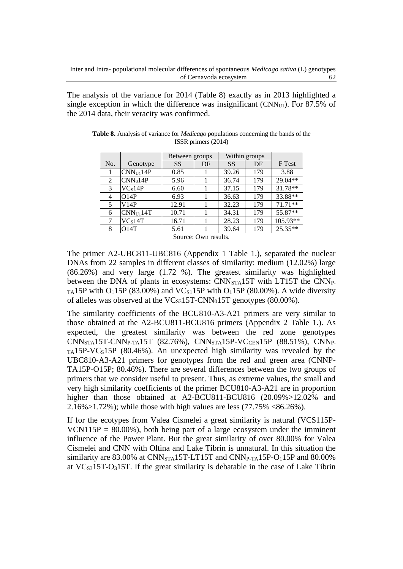The analysis of the variance for 2014 (Table 8) exactly as in 2013 highlighted a single exception in which the difference was insignificant ( $CNN<sub>U1</sub>$ ). For 87.5% of the 2014 data, their veracity was confirmed.

|     |                       | Between groups |                                                                 |       | Within groups |           |
|-----|-----------------------|----------------|-----------------------------------------------------------------|-------|---------------|-----------|
| No. | Genotype              | SS             | DF                                                              | SS    | DF            | F Test    |
|     | CNN <sub>U1</sub> 14P | 0.85           |                                                                 | 39.26 | 179           | 3.88      |
| 2   | CNN <sub>0</sub> 14P  | 5.96           |                                                                 | 36.74 | 179           | 29.04**   |
| 3   | VC <sub>s</sub> 14P   | 6.60           |                                                                 | 37.15 | 179           | 31.78**   |
| 4   | O14P                  | 6.93           |                                                                 | 36.63 | 179           | 33.88**   |
| 5   | V14P                  | 12.91          |                                                                 | 32.23 | 179           | $71.71**$ |
| 6   | CNN <sub>U1</sub> 14T | 10.71          |                                                                 | 34.31 | 179           | 55.87**   |
| 7   | VC <sub>s</sub> 14T   | 16.71          |                                                                 | 28.23 | 179           | 105.93**  |
| 8   | O14T                  | 5.61           |                                                                 | 39.64 | 179           | 25.35**   |
|     |                       |                | $\mathcal{L}_{\text{out}}$ on $\mathcal{L}_{\text{out}}$ routle |       |               |           |

**Table 8.** Analysis of variance for *Medicago* populations concerning the bands of the ISSR primers (2014)

Source: Own results.

The primer A2-UBC811-UBC816 (Appendix 1 Table 1.), separated the nuclear DNAs from 22 samples in different classes of similarity: medium (12.02%) large (86.26%) and very large (1.72 %). The greatest similarity was highlighted between the DNA of plants in ecosystems: CNN<sub>STA</sub>15T with LT15T the CNN<sub>P-</sub>  $_{TA}$ 15P with O<sub>1</sub>15P (83.00%) and VC<sub>S1</sub>15P with O<sub>1</sub>15P (80.00%). A wide diversity of alleles was observed at the  $VC_{S3}15T-CNN_015T$  genotypes (80.00%).

The similarity coefficients of the BCU810-A3-A21 primers are very similar to those obtained at the A2-BCU811-BCU816 primers (Appendix 2 Table 1.). As expected, the greatest similarity was between the red zone genotypes  $CNN<sub>STA</sub>15T-CNN<sub>P-TA</sub>15T (82.76%), CNN<sub>STA</sub>15P-VC<sub>CEN</sub>15P (88.51%), CNN<sub>P-TA</sub>15P)$  $TA15P-VC<sub>S</sub>15P$  (80.46%). An unexpected high similarity was revealed by the UBC810-A3-A21 primers for genotypes from the red and green area (CNNP-TA15P-O15P; 80.46%). There are several differences between the two groups of primers that we consider useful to present. Thus, as extreme values, the small and very high similarity coefficients of the primer BCU810-A3-A21 are in proportion higher than those obtained at A2-BCU811-BCU816 (20.09%>12.02% and 2.16%>1.72%); while those with high values are less (77.75% <86.26%).

If for the ecotypes from Valea Cismelei a great similarity is natural (VCS115P-VCN115P =  $80.00\%$ ), both being part of a large ecosystem under the imminent influence of the Power Plant. But the great similarity of over 80.00% for Valea Cismelei and CNN with Oltina and Lake Tibrin is unnatural. In this situation the similarity are  $83.00\%$  at CNN<sub>STA</sub>15T-LT15T and CNN<sub>P-TA</sub>15P-O<sub>1</sub>15P and  $80.00\%$ at  $VC<sub>S3</sub>15T-O<sub>3</sub>15T$ . If the great similarity is debatable in the case of Lake Tibrin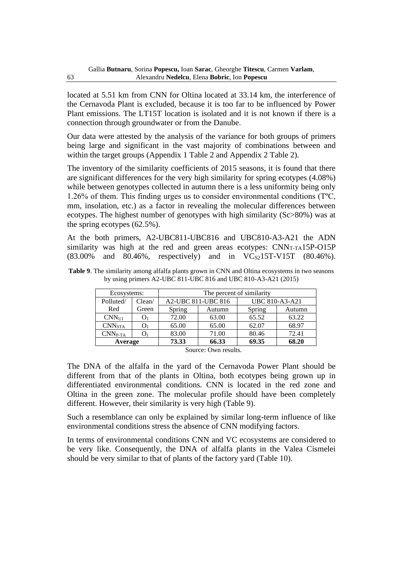located at 5.51 km from CNN for Oltina located at 33.14 km, the interference of the Cernavoda Plant is excluded, because it is too far to be influenced by Power Plant emissions. The LT15T location is isolated and it is not known if there is a connection through groundwater or from the Danube.

Our data were attested by the analysis of the variance for both groups of primers being large and significant in the vast majority of combinations between and within the target groups (Appendix 1 Table 2 and Appendix 2 Table 2).

The inventory of the similarity coefficients of 2015 seasons, it is found that there are significant differences for the very high similarity for spring ecotypes (4.08%) while between genotypes collected in autumn there is a less uniformity being only 1.26% of them. This finding urges us to consider environmental conditions (TºC, mm, insolation, etc.) as a factor in revealing the molecular differences between ecotypes. The highest number of genotypes with high similarity (Sc>80%) was at the spring ecotypes (62.5%).

At the both primers, A2-UBC811-UBC816 and UBC810-A3-A21 the ADN similarity was high at the red and green areas ecotypes:  $CNN_{T-TA}15P-O15P$  $(83.00\%$  and  $80.46\%$ , respectively) and in VC<sub>S2</sub>15T-V15T  $(80.46\%)$ .

| Ecosystems:        |        | The percent of similarity |                    |                       |        |  |  |  |
|--------------------|--------|---------------------------|--------------------|-----------------------|--------|--|--|--|
| Polluted/          | Clean/ |                           | A2-UBC 811-UBC 816 | <b>UBC 810-A3-A21</b> |        |  |  |  |
| Red                | Green  | Spring                    | Autumn             | Spring                | Autumn |  |  |  |
| CNN <sub>U1</sub>  |        | 72.00                     | 63.00              | 65.52                 | 63.22  |  |  |  |
| CNN <sub>STA</sub> |        | 65.00                     | 65.00              | 62.07                 | 68.97  |  |  |  |
| $CNNP-TA$          |        | 83.00                     | 71.00              | 80.46                 | 72.41  |  |  |  |
| Average            |        | 73.33                     | 66.33              | 69.35                 | 68.20  |  |  |  |

**Table 9**. The similarity among alfalfa plants grown in CNN and Oltina ecosystems in two seasons by using primers A2-UBC 811-UBC 816 and UBC 810-A3-A21 (2015)

Source: Own results.

The DNA of the alfalfa in the yard of the Cernavoda Power Plant should be different from that of the plants in Oltina, both ecotypes being grown up in differentiated environmental conditions. CNN is located in the red zone and Oltina in the green zone. The molecular profile should have been completely different. However, their similarity is very high (Table 9).

Such a resemblance can only be explained by similar long-term influence of like environmental conditions stress the absence of CNN modifying factors.

In terms of environmental conditions CNN and VC ecosystems are considered to be very like. Consequently, the DNA of alfalfa plants in the Valea Cismelei should be very similar to that of plants of the factory yard (Table 10).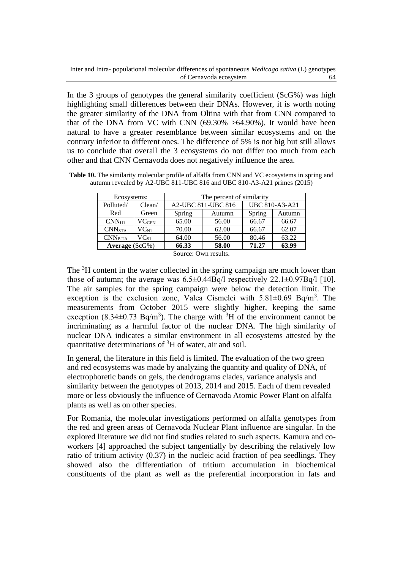In the 3 groups of genotypes the general similarity coefficient (ScG%) was high highlighting small differences between their DNAs. However, it is worth noting the greater similarity of the DNA from Oltina with that from CNN compared to that of the DNA from VC with CNN  $(69.30\% > 64.90\%)$ . It would have been natural to have a greater resemblance between similar ecosystems and on the contrary inferior to different ones. The difference of 5% is not big but still allows us to conclude that overall the 3 ecosystems do not differ too much from each other and that CNN Cernavoda does not negatively influence the area.

**Table 10.** The similarity molecular profile of alfalfa from CNN and VC ecosystems in spring and autumn revealed by A2-UBC 811-UBC 816 and UBC 810-A3-A21 primes (2015)

| Ecosystems:        |                 | The percent of similarity |                    |        |                |  |  |  |
|--------------------|-----------------|---------------------------|--------------------|--------|----------------|--|--|--|
| Polluted/          | Clean/          |                           | A2-UBC 811-UBC 816 |        | UBC 810-A3-A21 |  |  |  |
| Red                | Green           | Spring                    | Autumn             | Spring | Autumn         |  |  |  |
| CNN <sub>U1</sub>  | $\rm{VC_{CEN}}$ | 65.00                     | 56.00              | 66.67  | 66.67          |  |  |  |
| CNN <sub>STA</sub> | $\rm V C_{N1}$  | 70.00                     | 62.00              | 66.67  | 62.07          |  |  |  |
| $CNNP-TA$          | $VC_{S1}$       | 64.00                     | 56.00              | 80.46  | 63.22          |  |  |  |
| Average $(ScG\%)$  |                 | 66.33                     | 58.00              | 71.27  | 63.99          |  |  |  |

Source: Own results.

The <sup>3</sup>H content in the water collected in the spring campaign are much lower than those of autumn; the average was  $6.5\pm0.44Bq/l$  respectively  $22.1\pm0.97Bq/l$  [10]. The air samples for the spring campaign were below the detection limit. The exception is the exclusion zone, Valea Cismelei with  $5.81 \pm 0.69$  Bq/m<sup>3</sup>. The measurements from October 2015 were slightly higher, keeping the same exception (8.34 $\pm$ 0.73 Bq/m<sup>3</sup>). The charge with <sup>3</sup>H of the environment cannot be incriminating as a harmful factor of the nuclear DNA. The high similarity of nuclear DNA indicates a similar environment in all ecosystems attested by the quantitative determinations of  ${}^{3}H$  of water, air and soil.

In general, the literature in this field is limited. The evaluation of the two green and red ecosystems was made by analyzing the quantity and quality of DNA, of electrophoretic bands on gels, the dendrograms clades, variance analysis and similarity between the genotypes of 2013, 2014 and 2015. Each of them revealed more or less obviously the influence of Cernavoda Atomic Power Plant on alfalfa plants as well as on other species.

For Romania, the molecular investigations performed on alfalfa genotypes from the red and green areas of Cernavoda Nuclear Plant influence are singular. In the explored literature we did not find studies related to such aspects. Kamura and coworkers [4] approached the subject tangentially by describing the relatively low ratio of tritium activity (0.37) in the nucleic acid fraction of pea seedlings. They showed also the differentiation of tritium accumulation in biochemical constituents of the plant as well as the preferential incorporation in fats and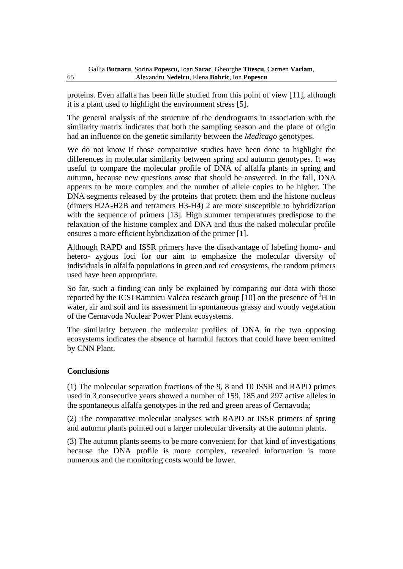proteins. Even alfalfa has been little studied from this point of view [11], although it is a plant used to highlight the environment stress [5].

The general analysis of the structure of the dendrograms in association with the similarity matrix indicates that both the sampling season and the place of origin had an influence on the genetic similarity between the *Medicago* genotypes.

We do not know if those comparative studies have been done to highlight the differences in molecular similarity between spring and autumn genotypes. It was useful to compare the molecular profile of DNA of alfalfa plants in spring and autumn, because new questions arose that should be answered. In the fall, DNA appears to be more complex and the number of allele copies to be higher. The DNA segments released by the proteins that protect them and the histone nucleus (dimers H2A-H2B and tetramers H3-H4) 2 are more susceptible to hybridization with the sequence of primers [13]. High summer temperatures predispose to the relaxation of the histone complex and DNA and thus the naked molecular profile ensures a more efficient hybridization of the primer [1].

Although RAPD and ISSR primers have the disadvantage of labeling homo- and hetero- zygous loci for our aim to emphasize the molecular diversity of individuals in alfalfa populations in green and red ecosystems, the random primers used have been appropriate.

So far, such a finding can only be explained by comparing our data with those reported by the ICSI Ramnicu Valcea research group  $[10]$  on the presence of <sup>3</sup>H in water, air and soil and its assessment in spontaneous grassy and woody vegetation of the Cernavoda Nuclear Power Plant ecosystems.

The similarity between the molecular profiles of DNA in the two opposing ecosystems indicates the absence of harmful factors that could have been emitted by CNN Plant.

# **Conclusions**

(1) The molecular separation fractions of the 9, 8 and 10 ISSR and RAPD primes used in 3 consecutive years showed a number of 159, 185 and 297 active alleles in the spontaneous alfalfa genotypes in the red and green areas of Cernavoda;

(2) The comparative molecular analyses with RAPD or ISSR primers of spring and autumn plants pointed out a larger molecular diversity at the autumn plants.

(3) The autumn plants seems to be more convenient for that kind of investigations because the DNA profile is more complex, revealed information is more numerous and the monitoring costs would be lower.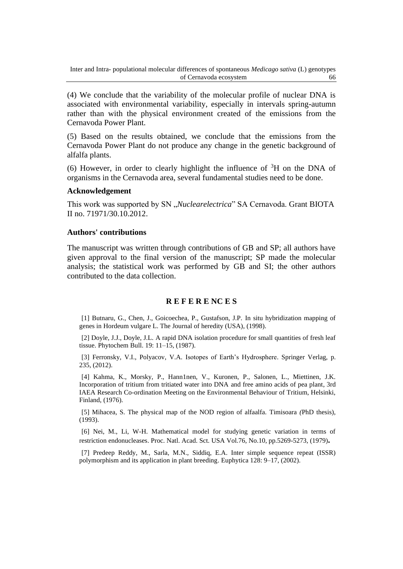(4) We conclude that the variability of the molecular profile of nuclear DNA is associated with environmental variability, especially in intervals spring-autumn rather than with the physical environment created of the emissions from the Cernavoda Power Plant.

(5) Based on the results obtained, we conclude that the emissions from the Cernavoda Power Plant do not produce any change in the genetic background of alfalfa plants.

(6) However, in order to clearly highlight the influence of  ${}^{3}H$  on the DNA of organisms in the Cernavoda area, several fundamental studies need to be done.

#### **Acknowledgement**

This work was supported by SN "*Nuclearelectrica*" SA Cernavoda. Grant BIOTA II no. 71971/30.10.2012.

#### **Authors' contributions**

The manuscript was written through contributions of GB and SP; all authors have given approval to the final version of the manuscript; SP made the molecular analysis; the statistical work was performed by GB and SI; the other authors contributed to the data collection.

#### **R E F E R E NC E S**

[1] Butnaru, G., Chen, J., Goicoechea, P., Gustafson, J.P. In situ hybridization mapping of genes in Hordeum vulgare L. The Journal of heredity (USA), (1998).

[2] Doyle, J.J., Doyle, J.L. A rapid DNA isolation procedure for small quantities of fresh leaf tissue. Phytochem Bull. 19: 11–15, (1987).

[3] Ferronsky, V.I., Polyacov, V.A. Isotopes of Earth's Hydrosphere. Springer Verlag, p. 235, (2012).

[4] Kahma, K., Morsky, P., Hann1nen, V., Kuronen, P., Salonen, L., Miettinen, J.K. Incorporation of tritium from tritiated water into DNA and free amino acids of pea plant, 3rd IAEA Research Co-ordination Meeting on the Environmental Behaviour of Tritium, Helsinki, Finland, (1976).

[5] Mihacea, S. The physical map of the NOD region of alfaalfa*.* Timisoara *(*PhD thesis), (1993).

[6] Nei, M., Li, W-H. [Mathematical model for studying genetic variation in terms of](https://www.pnas.org/content/76/10/5269.short)  [restriction endonucleases.](https://www.pnas.org/content/76/10/5269.short) Proc. Natl. Acad. Sct. USA Vol.76, No.10, pp.5269-5273, (1979)**.**

[7] Predeep Reddy, M., Sarla, M.N., Siddiq, E.A. Inter simple sequence repeat (ISSR) polymorphism and its application in plant breeding. Euphytica 128: 9–17, (2002).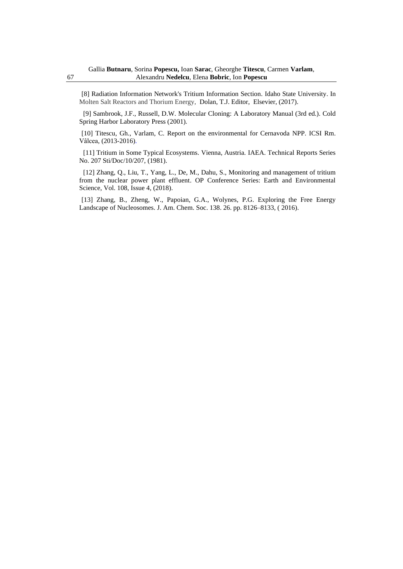[8] [Radiation Information Network's Tritium Information Section](http://www.physics.isu.edu/radinf/tritium.htm)*.* Idaho State University. In Molten Salt Reactors and Thorium Energy, Dolan, T.J. Editor, Elsevier, (2017).

[9] Sambrook, J.F.*,* Russell, D.W. Molecular Cloning: A Laboratory Manual (3rd ed.). Cold Spring Harbor Laboratory Press (2001)*.*

[10] Titescu, Gh., Varlam, C. Report on the environmental for Cernavoda NPP. ICSI Rm. Vâlcea, (2013-2016).

[11] Tritium in Some Typical Ecosystems. Vienna, Austria. IAEA. Technical Reports Series No. 207 Sti/Doc/10/207, (1981).

[12] Zhang, Q., Liu, T., Yang, L., De, M., Dahu, S., Monitoring and management of tritium from the nuclear power plant effluent. [OP Conference Series: Earth and Environmental](https://iopscience.iop.org/journal/1755-1315)  [Science,](https://iopscience.iop.org/journal/1755-1315) [Vol. 108,](https://iopscience.iop.org/volume/1755-1315/108) [Issue 4,](https://iopscience.iop.org/issue/1755-1315/108/4) (2018).

[13] [Zhang,](https://pubs.acs.org/action/doSearch?field1=Contrib&text1=Bin++Zhang) B., [Zheng,](https://pubs.acs.org/action/doSearch?field1=Contrib&text1=Weihua++Zheng) W., [Papoian,](https://pubs.acs.org/action/doSearch?field1=Contrib&text1=Garegin+A.++Papoian) G.A., [Wolynes,](https://pubs.acs.org/action/doSearch?field1=Contrib&text1=Peter+G.++Wolynes) P.G. Exploring the Free Energy Landscape of Nucleosomes. J. Am. Chem. Soc. 138. 26. pp. 8126–8133, ( 2016).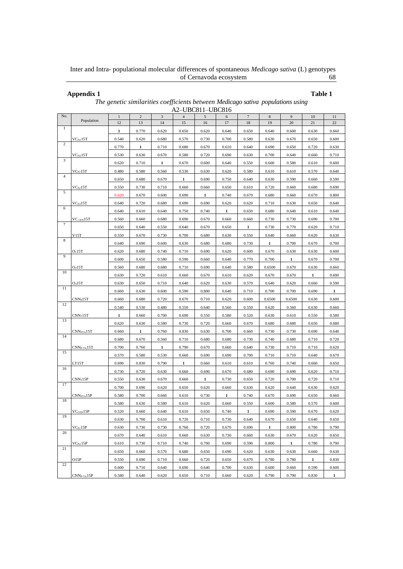Inter and Intra- populational molecular differences of spontaneous *Medicago sativa* (L) genotypes of Cernavoda ecosystem 68

**Appendix 1 Table 1**

|                | A2-UBC811-UBC816                   |              |            |              |                |              |       |        |                |              |              |              |
|----------------|------------------------------------|--------------|------------|--------------|----------------|--------------|-------|--------|----------------|--------------|--------------|--------------|
| No.            | Population                         | $\mathbf{1}$ | $\sqrt{2}$ | $\sqrt{3}$   | $\overline{4}$ | 5            | 6     | $\tau$ | $8\phantom{1}$ | 9            | 10           | 11           |
| $\mathbf{1}$   |                                    | 12           | 13         | 14           | 15             | 16           | 17    | 18     | 19             | 20           | 21           | 22           |
|                |                                    | 1            | 0.770      | 0.620        | 0.650          | 0.620        | 0.640 | 0.650  | 0.640          | 0.600        | 0.630        | 0.660        |
| 2              | $VC_{\rm N1}15T$                   | 0.540        | 0.620      | 0.680        | 0.570          | 0.730        | 0.700 | 0.580  | 0.630          | 0.670        | 0.650        | 0.600        |
|                |                                    | 0.770        | 1          | 0.710        | 0.680          | 0.670        | 0.610 | 0.640  | 0.690          | 0.650        | 0.720        | 0.630        |
|                | $\rm V C_{N2} 15T$                 | 0.530        | 0.630      | 0.670        | 0.580          | 0.720        | 0.690 | 0.630  | 0.700          | 0.640        | 0.660        | 0.710        |
| 3              |                                    | 0.620        | 0.710      | $\mathbf{1}$ | 0.670          | 0.600        | 0.640 | 0.550  | 0.600          | 0.580        | 0.610        | 0.600        |
|                | VCs115T                            | 0.480        | 0.580      | 0.560        | 0.530          | 0.630        | 0.620 | 0.580  | 0.610          | 0.610        | 0.570        | 0.640        |
| $\overline{4}$ |                                    | 0.650        | 0.680      | 0.670        | 1              | 0.690        | 0.750 | 0.640  | 0.630          | 0.590        | 0.660        | 0.590        |
|                | VC <sub>S2</sub> 15T               | 0.550        | 0.730      | 0.710        | 0.660          | 0.660        | 0.650 | 0.610  | 0.720          | 0.660        | 0.680        | 0.690        |
| 5              |                                    | 0.620        | 0.670      | 0.600        | 0.690          | $\mathbf{1}$ | 0.740 | 0.670  | 0.680          | 0.660        | 0.670        | 0.800        |
|                | VC <sub>S3</sub> 15T               | 0.640        | 0.720      | 0.680        | 0.690          | 0.690        | 0.620 | 0.620  | 0.710          | 0.630        | 0.650        | 0.640        |
| 6              |                                    | 0.640        | 0.610      | 0.640        | 0.750          | 0.740        | 1     | 0.650  | 0.680          | 0.640        | 0.610        | 0.640        |
|                | VC <sub>CEN</sub> 15T              | 0.560        | 0.660      | 0.680        | 0.690          | 0.670        | 0.660 | 0.660  | 0.730          | 0.730        | 0.690        | 0.700        |
| 7              |                                    | 0.650        | 0.640      | 0.550        | 0.640          | 0.670        | 0.650 | 1      | 0.730          | 0.770        | 0.620        | 0.710        |
|                | V15T                               | 0.550        | 0.670      | 0.730        | 0.700          | 0.680        | 0.630 | 0.550  | 0.640          | 0.660        | 0.620        | 0.630        |
| 8              |                                    | 0.640        | 0.690      | 0.600        | 0.630          | 0.680        | 0.680 | 0.730  | 1              | 0.700        | 0.670        | 0.700        |
|                | O <sub>1</sub> 15T                 | 0.620        | 0.680      | 0.740        | 0.710          | 0.690        | 0.620 | 0.600  | 0.670          | 0.630        | 0.630        | 0.600        |
| 9              |                                    | 0.600        | 0.650      | 0.580        | 0.590          | 0.660        | 0.640 | 0.770  | 0.700          | $\mathbf{1}$ | 0.670        | 0.700        |
|                | O <sub>2</sub> 15T                 | 0.560        | 0.680      | 0.680        | 0.710          | 0.690        | 0.640 | 0.580  | 0.6500         | 0.670        | 0.630        | 0.660        |
| 10             |                                    | 0.630        | 0.720      | 0.610        | 0.660          | 0.670        | 0.610 | 0.620  | 0.670          | 0.670        | $\mathbf{1}$ | 0.690        |
|                | O <sub>3</sub> 15T                 | 0.630        | 0.650      | 0.710        | 0.640          | 0.620        | 0.630 | 0.570  | 0.640          | 0.620        | 0.660        | 0.590        |
| 11             |                                    | 0.660        | 0.630      | 0.600        | 0.590          | 0.800        | 0.640 | 0.710  | 0.700          | 0.700        | 0.690        | $\mathbf{1}$ |
|                | CNN <sub>0</sub> 15T               | 0.660        | 0.680      | 0.720        | 0.670          | 0.710        | 0.620 | 0.600  | 0.6500         | 0.6500       | 0.630        | 0.600        |
| 12             |                                    | 0.540        | 0.530      | 0.480        | 0.550          | 0.640        | 0.560 | 0.550  | 0.620          | 0.560        | 0.630        | 0.660        |
|                | $CNN_115T$                         | 1            | 0.660      | 0.700        | 0.690          | 0.550        | 0.580 | 0.520  | 0.630          | 0.610        | 0.550        | 0.580        |
| 13             |                                    | 0.620        | 0.630      | 0.580        | 0.730          | 0.720        | 0.660 | 0.670  | 0.680          | 0.680        | 0.650        | 0.680        |
|                | CNN <sub>STA</sub> 15T             | 0.660        | 1          | 0.760        | 0.830          | 0.630        | 0.700 | 0.660  |                | 0.730        |              | 0.640        |
| 14             |                                    |              |            |              |                |              |       |        | 0.730          |              | 0.690        |              |
|                |                                    | 0.680        | 0.670      | 0.560        | 0.710          | 0.680        | 0.680 | 0.730  | 0.740          | 0.680        | 0.710        | 0.720        |
| 15             | $CNNP-TA15T$                       | 0.700        | 0.760      | 1            | 0.790          | 0.670        | 0.660 | 0.640  | 0.730          | 0.710        | 0.710        | 0.620        |
|                |                                    | 0.570        | 0.580      | 0.530        | 0.660          | 0.690        | 0.690 | 0.700  | 0.710          | 0.710        | 0.640        | 0.670        |
| 16             | LT15T                              | 0.690        | 0.830      | 0.790        | 1              | 0.660        | 0.610 | 0.610  | 0.760          | 0.740        | 0.660        | 0.650        |
|                |                                    | 0.730        | 0.720      | 0.630        | 0.660          | 0.690        | 0.670 | 0.680  | 0.690          | 0.690        | 0.620        | 0.710        |
| 17             | CNN <sub>1</sub> 15P               | 0.550        | 0.630      | 0.670        | 0.660          | 1            | 0.730 | 0.650  | 0.720          | 0.700        | 0.720        | 0.710        |
|                |                                    | 0.700        | 0.690      | 0.620        | 0.650          | 0.620        | 0.660 | 0.630  | 0.620          | 0.640        | 0.630        | 0.620        |
| 18             | ${\rm CNN}_{\rm STA}$ 15P          | 0.580        | 0.700      | 0.660        | 0.610          | 0.730        | 1     | 0.740  | 0.670          | 0.690        | 0.650        | 0.660        |
|                |                                    | 0.580        | 0.630      | 0.580        | 0.610          | 0.620        | 0.660 | 0.550  | 0.600          | 0.580        | 0.570        | 0.600        |
| 19             | VC <sub>CEN</sub> 15P              | 0.520        | 0.660      | 0.640        | 0.610          | 0.650        | 0.740 |        | 0.690          | 0.590        | 0.670        | 0.620        |
|                |                                    | 0.630        | 0.700      | 0.610        | 0.720          | 0.710        | 0.730 | 0.640  | 0.670          | 0.650        | 0.640        | 0.650        |
| 20             | $VC_{S1}15P$                       | 0.630        | 0.730      | 0.730        | 0.760          | 0.720        | 0.670 | 0.690  | $\mathbf{1}$   | 0.800        | 0.780        | 0.790        |
|                |                                    | 0.670        | 0.640      | 0.610        | 0.660          | 0.630        | 0.730 | 0.660  | 0.630          | 0.670        | 0.620        | 0.650        |
|                | $\rm{VC_{N1}}15P$                  | 0.610        | 0.730      | 0.710        | 0.740          | 0.700        | 0.690 | 0.590  | 0.800          | $\mathbf{1}$ | 0.780        | 0.790        |
| 21             |                                    | 0.650        | 0.660      | 0.570        | 0.680          | 0.650        | 0.690 | 0.620  | 0.630          | 0.630        | 0.660        | 0.630        |
|                | O15P                               | 0.550        | 0.690      | 0.710        | 0.660          | 0.720        | 0.650 | 0.670  | 0.780          | 0.780        | $\mathbf{1}$ | 0.830        |
| 22             |                                    | 0.600        | 0.710      | 0.640        | 0.690          | 0.640        | 0.700 | 0.630  | 0.600          | 0.660        | 0.590        | 0.600        |
|                | $\text{CNN}_\text{P-TA}15\text{P}$ | 0.580        | 0.640      | 0.620        | 0.650          | 0.710        | 0.660 | 0.620  | 0.790          | 0.790        | 0.830        | $\mathbf{1}$ |

*The genetic similarities coefficients between Medicago sativa populations using*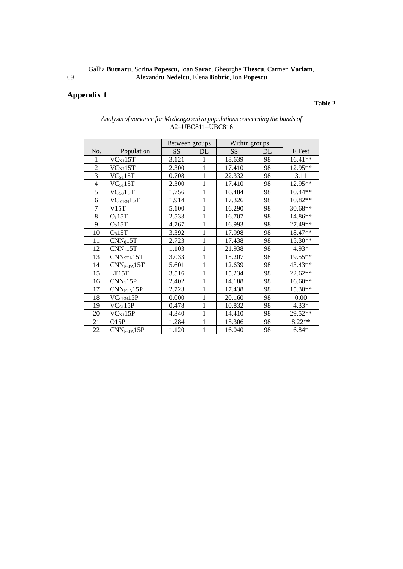# **Appendix 1**

#### **Table 2**

|                |                        | Between groups |              | Within groups |    |           |
|----------------|------------------------|----------------|--------------|---------------|----|-----------|
| No.            | Population             | SS             | DL           | SS            | DL | F Test    |
| 1              | $VC_{N1}15T$           | 3.121          | 1            | 18.639        | 98 | $16.41**$ |
| $\overline{2}$ | $\rm{VC_{N2}}15T$      | 2.300          | 1            | 17.410        | 98 | 12.95**   |
| $\overline{3}$ | $\rm VC_{S1}15T$       | 0.708          | 1            | 22.332        | 98 | 3.11      |
| $\overline{4}$ | $\rm VC_{S1}15T$       | 2.300          | 1            | 17.410        | 98 | 12.95**   |
| 5              | $VC_{S3}15T$           | 1.756          | 1            | 16.484        | 98 | $10.44**$ |
| 6              | VC <sub>CEN</sub> 15T  | 1.914          | $\mathbf 1$  | 17.326        | 98 | $10.82**$ |
| $\overline{7}$ | V15T                   | 5.100          | 1            | 16.290        | 98 | $30.68**$ |
| 8              | O <sub>1</sub> 15T     | 2.533          | $\mathbf 1$  | 16.707        | 98 | 14.86**   |
| 9              | O <sub>2</sub> 15T     | 4.767          | 1            | 16.993        | 98 | 27.49**   |
| 10             | O <sub>3</sub> 15T     | 3.392          | 1            | 17.998        | 98 | 18.47**   |
| 11             | $CNN_015T$             | 2.723          | 1            | 17.438        | 98 | 15.30**   |
| 12             | CNN <sub>1</sub> 15T   | 1.103          | 1            | 21.938        | 98 | $4.93*$   |
| 13             | CNN <sub>STA</sub> 15T | 3.033          | 1            | 15.207        | 98 | 19.55**   |
| 14             | $CNNP-TA15T$           | 5.601          | 1            | 12.639        | 98 | 43.43**   |
| 15             | LT15T                  | 3.516          | 1            | 15.234        | 98 | 22.62**   |
| 16             | CNN <sub>1</sub> 15P   | 2.402          | $\mathbf{1}$ | 14.188        | 98 | $16.60**$ |
| 17             | CNN <sub>STA</sub> 15P | 2.723          | 1            | 17.438        | 98 | 15.30**   |
| 18             | $\rm VC_{\rm CEN}$ 15P | 0.000          | 1            | 20.160        | 98 | 0.00      |
| 19             | $VC_{S1}15P$           | 0.478          | 1            | 10.832        | 98 | $4.33*$   |
| 20             | $VC_{N1}15P$           | 4.340          | $\mathbf 1$  | 14.410        | 98 | 29.52**   |
| 21             | O15P                   | 1.284          | 1            | 15.306        | 98 | $8.22**$  |
| 22             | $CNNP-TA15P$           | 1.120          | 1            | 16.040        | 98 | $6.84*$   |

#### *Analysis of variance for Medicago sativa populations concerning the bands of*  A2–UBC811–UBC816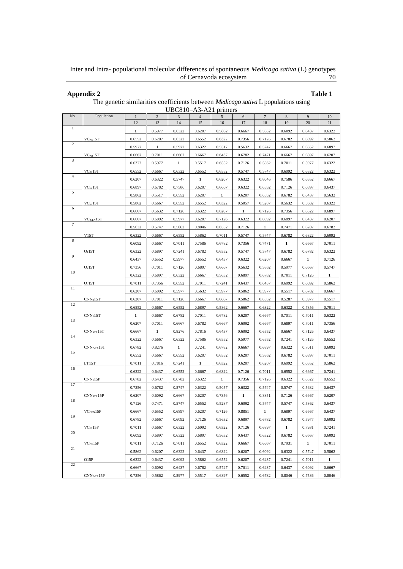Inter and Intra- populational molecular differences of spontaneous *Medicago sativa* (L) genotypes of Cernavoda ecosystem 70

#### **Appendix 2 Table 1**

The genetic similarities coefficients between *Medicago sativa* L populations using

| UBC810-A3-A21 primers |                          |              |                |        |        |            |            |        |              |              |              |
|-----------------------|--------------------------|--------------|----------------|--------|--------|------------|------------|--------|--------------|--------------|--------------|
| No.                   | Population               | $\mathbf{1}$ | $\overline{2}$ | 3      |        | $\sqrt{5}$ | $\sqrt{6}$ | $\tau$ | 8            | 9            | 10           |
| $\mathbf{1}$          |                          | 12           | 13             | 14     | 15     | 16         | 17         | 18     | 19           | $20\,$       | 21           |
|                       |                          | 1            | 0.5977         | 0.6322 | 0.6207 | 0.5862     | 0.6667     | 0.5632 | 0.6092       | 0.6437       | 0.6322       |
| $\overline{c}$        | $\rm V C_{N1} 15 T$      | 0.6552       | 0.6207         | 0.6322 | 0.6552 | 0.6322     | 0.7356     | 0.7126 | 0.6782       | 0.6092       | 0.5862       |
|                       |                          | 0.5977       | 1              | 0.5977 | 0.6322 | 0.5517     | 0.5632     | 0.5747 | 0.6667       | 0.6552       | 0.6897       |
| 3                     | $\rm V C_{N2} 15 T$      | 0.6667       | 0.7011         | 0.6667 | 0.6667 | 0.6437     | 0.6782     | 0.7471 | 0.6667       | 0.6897       | 0.6207       |
|                       |                          | 0.6322       | 0.5977         | 1      | 0.5517 | 0.6552     | 0.7126     | 0.5862 | 0.7011       | 0.5977       | 0.6322       |
| $\overline{4}$        | $\rm{VC}_{S1}15T$        | 0.6552       | 0.6667         | 0.6322 | 0.6552 | 0.6552     | 0.5747     | 0.5747 | 0.6092       | 0.6322       | 0.6322       |
|                       |                          | 0.6207       | 0.6322         | 0.5747 | -1     | 0.6207     | 0.6322     | 0.8046 | 0.7586       | 0.6552       | 0.6667       |
| 5                     | VC <sub>s2</sub> 15T     | 0.6897       | 0.6782         | 0.7586 | 0.6207 | 0.6667     | 0.6322     | 0.6552 | 0.7126       | 0.6897       | 0.6437       |
|                       |                          | 0.5862       | 0.5517         | 0.6552 | 0.6207 | 1          | 0.6207     | 0.6552 | 0.6782       | 0.6437       | 0.5632       |
|                       | VC <sub>S3</sub> 15T     | 0.5862       | 0.6667         | 0.6552 | 0.6552 | 0.6322     | 0.5057     | 0.5287 | 0.5632       | 0.5632       | 0.6322       |
| 6                     |                          | 0.6667       | 0.5632         | 0.7126 | 0.6322 | 0.6207     | 1          | 0.7126 | 0.7356       | 0.6322       | 0.6897       |
|                       | $\rm{VC}$ cen $\rm{15T}$ | 0.6667       | 0.6092         | 0.5977 | 0.6207 | 0.7126     | 0.6322     | 0.6092 | 0.6897       | 0.6437       | 0.6207       |
| $\tau$                |                          | 0.5632       | 0.5747         | 0.5862 | 0.8046 | 0.6552     | 0.7126     | 1      | 0.7471       | 0.6207       | 0.6782       |
|                       | V15T                     | 0.6322       | 0.6667         | 0.6552 | 0.5862 | 0.7011     | 0.5747     | 0.5747 | 0.6782       | 0.6322       | 0.6092       |
| 8                     |                          | 0.6092       | 0.6667         | 0.7011 | 0.7586 | 0.6782     | 0.7356     | 0.7471 | 1            | 0.6667       | 0.7011       |
|                       | O <sub>1</sub> 15T       | 0.6322       | 0.6897         | 0.7241 | 0.6782 | 0.6552     | 0.5747     | 0.5747 | 0.6782       | 0.6782       | 0.6322       |
| 9                     |                          | 0.6437       | 0.6552         | 0.5977 | 0.6552 | 0.6437     | 0.6322     | 0.6207 | 0.6667       | 1            | 0.7126       |
|                       | O <sub>2</sub> 15T       | 0.7356       | 0.7011         | 0.7126 | 0.6897 | 0.6667     | 0.5632     | 0.5862 | 0.5977       | 0.6667       | 0.5747       |
| 10                    |                          | 0.6322       | 0.6897         | 0.6322 | 0.6667 | 0.5632     | 0.6897     | 0.6782 | 0.7011       | 0.7126       | $\mathbf{1}$ |
|                       | O <sub>3</sub> 15T       | 0.7011       | 0.7356         | 0.6552 | 0.7011 | 0.7241     | 0.6437     | 0.6437 | 0.6092       | 0.6092       | 0.5862       |
| 11                    |                          | 0.6207       | 0.6092         | 0.5977 | 0.5632 | 0.5977     | 0.5862     | 0.5977 | 0.5517       | 0.6782       | 0.6667       |
|                       | $CNN_015T$               | 0.6207       | 0.7011         | 0.7126 | 0.6667 | 0.6667     | 0.5862     | 0.6552 | 0.5287       | 0.5977       | 0.5517       |
| 12                    |                          | 0.6552       | 0.6667         | 0.6552 | 0.6897 | 0.5862     | 0.6667     | 0.6322 | 0.6322       | 0.7356       | 0.7011       |
|                       | CNN <sub>1</sub> 15T     | $\mathbf{1}$ | 0.6667         | 0.6782 | 0.7011 | 0.6782     | 0.6207     | 0.6667 | 0.7011       | 0.7011       | 0.6322       |
| 13                    |                          | 0.6207       | 0.7011         | 0.6667 | 0.6782 | 0.6667     | 0.6092     | 0.6667 | 0.6897       | 0.7011       | 0.7356       |
|                       | CNN <sub>STA</sub> 15T   | 0.6667       | 1              | 0.8276 | 0.7816 | 0.6437     | 0.6092     | 0.6552 | 0.6667       | 0.7126       | 0.6437       |
| 14                    |                          | 0.6322       | 0.6667         | 0.6322 | 0.7586 | 0.6552     | 0.5977     | 0.6552 | 0.7241       | 0.7126       | 0.6552       |
|                       | $CNNP-TA15T$             | 0.6782       | 0.8276         | 1      | 0.7241 | 0.6782     | 0.6667     | 0.6897 | 0.6322       | 0.7011       | 0.6092       |
| 15                    |                          | 0.6552       | 0.6667         | 0.6552 | 0.6207 | 0.6552     | 0.6207     | 0.5862 | 0.6782       | 0.6897       | 0.7011       |
|                       | LT15T                    | 0.7011       | 0.7816         | 0.7241 | 1      | 0.6322     | 0.6207     | 0.6207 | 0.6092       | 0.6552       | 0.5862       |
| 16                    |                          | 0.6322       | 0.6437         | 0.6552 | 0.6667 | 0.6322     | 0.7126     | 0.7011 | 0.6552       | 0.6667       | 0.7241       |
|                       | CNN <sub>1</sub> 15P     | 0.6782       | 0.6437         | 0.6782 | 0.6322 | 1          | 0.7356     | 0.7126 | 0.6322       | 0.6322       | 0.6552       |
| 17                    |                          | 0.7356       | 0.6782         | 0.5747 | 0.6322 | 0.5057     | 0.6322     | 0.5747 | 0.5747       | 0.5632       | 0.6437       |
|                       | CNN <sub>sta</sub> 15P   | 0.6207       | 0.6092         | 0.6667 | 0.6207 | 0.7356     | 1          | 0.8851 | 0.7126       | 0.6667       | 0.6207       |
| 18                    |                          | 0.7126       | 0.7471         | 0.5747 | 0.6552 | 0.5287     | 0.6092     | 0.5747 | 0.5747       | 0.5862       | 0.6437       |
|                       | VC <sub>CEN</sub> 15P    | 0.6667       | 0.6552         | 0.6897 | 0.6207 | 0.7126     | 0.8851     | 1      | 0.6897       | 0.6667       | 0.6437       |
| 19                    |                          | 0.6782       | 0.6667         | 0.6092 | 0.7126 | 0.5632     | 0.6897     | 0.6782 | 0.6782       | 0.5977       | 0.6092       |
|                       | $VC_{S1}15P$             | 0.7011       | 0.6667         | 0.6322 | 0.6092 | 0.6322     | 0.7126     | 0.6897 | $\mathbf{1}$ | 0.7931       | 0.7241       |
| 20                    |                          | 0.6092       | 0.6897         | 0.6322 | 0.6897 | 0.5632     | 0.6437     | 0.6322 | 0.6782       | 0.6667       | 0.6092       |
|                       | $\rm{VC_{N1}}15P$        | 0.7011       | 0.7126         | 0.7011 | 0.6552 | 0.6322     | 0.6667     | 0.6667 | 0.7931       | $\mathbf{1}$ | 0.7011       |
| 21                    |                          | 0.5862       | 0.6207         | 0.6322 | 0.6437 | 0.6322     | 0.6207     | 0.6092 | 0.6322       | 0.5747       | 0.5862       |
|                       | O15P                     | 0.6322       | 0.6437         | 0.6092 | 0.5862 | 0.6552     | 0.6207     | 0.6437 | 0.7241       | 0.7011       | $\mathbf{1}$ |
| 22                    |                          | 0.6667       | 0.6092         | 0.6437 | 0.6782 | 0.5747     | 0.7011     | 0.6437 | 0.6437       | 0.6092       | 0.6667       |
|                       | $CNNP-TA15P$             | 0.7356       | 0.5862         | 0.5977 | 0.5517 | 0.6897     | 0.6552     | 0.6782 | 0.8046       | 0.7586       | 0.8046       |